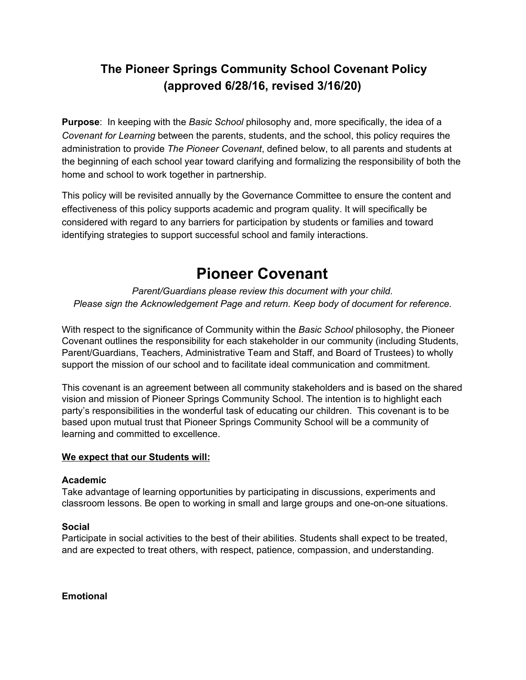# **The Pioneer Springs Community School Covenant Policy (approved 6/28/16, revised 3/16/20)**

**Purpose**: In keeping with the *Basic School* philosophy and, more specifically, the idea of a *Covenant for Learning* between the parents, students, and the school, this policy requires the administration to provide *The Pioneer Covenant*, defined below, to all parents and students at the beginning of each school year toward clarifying and formalizing the responsibility of both the home and school to work together in partnership.

This policy will be revisited annually by the Governance Committee to ensure the content and effectiveness of this policy supports academic and program quality. It will specifically be considered with regard to any barriers for participation by students or families and toward identifying strategies to support successful school and family interactions.

# **Pioneer Covenant**

*Parent/Guardians please review this document with your child. Please sign the Acknowledgement Page and return. Keep body of document for reference.*

With respect to the significance of Community within the *Basic School* philosophy, the Pioneer Covenant outlines the responsibility for each stakeholder in our community (including Students, Parent/Guardians, Teachers, Administrative Team and Staff, and Board of Trustees) to wholly support the mission of our school and to facilitate ideal communication and commitment.

This covenant is an agreement between all community stakeholders and is based on the shared vision and mission of Pioneer Springs Community School. The intention is to highlight each party's responsibilities in the wonderful task of educating our children. This covenant is to be based upon mutual trust that Pioneer Springs Community School will be a community of learning and committed to excellence.

# **We expect that our Students will:**

# **Academic**

Take advantage of learning opportunities by participating in discussions, experiments and classroom lessons. Be open to working in small and large groups and one-on-one situations.

# **Social**

Participate in social activities to the best of their abilities. Students shall expect to be treated, and are expected to treat others, with respect, patience, compassion, and understanding.

**Emotional**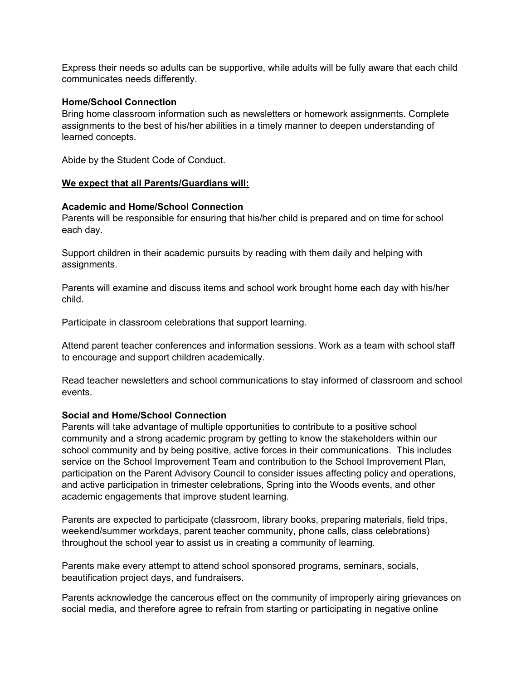Express their needs so adults can be supportive, while adults will be fully aware that each child communicates needs differently.

#### **Home/School Connection**

Bring home classroom information such as newsletters or homework assignments. Complete assignments to the best of his/her abilities in a timely manner to deepen understanding of learned concepts.

Abide by the Student Code of Conduct.

#### **We expect that all Parents/Guardians will:**

#### **Academic and Home/School Connection**

Parents will be responsible for ensuring that his/her child is prepared and on time for school each day.

Support children in their academic pursuits by reading with them daily and helping with assignments.

Parents will examine and discuss items and school work brought home each day with his/her child.

Participate in classroom celebrations that support learning.

Attend parent teacher conferences and information sessions. Work as a team with school staff to encourage and support children academically.

Read teacher newsletters and school communications to stay informed of classroom and school events.

# **Social and Home/School Connection**

Parents will take advantage of multiple opportunities to contribute to a positive school community and a strong academic program by getting to know the stakeholders within our school community and by being positive, active forces in their communications. This includes service on the School Improvement Team and contribution to the School Improvement Plan, participation on the Parent Advisory Council to consider issues affecting policy and operations, and active participation in trimester celebrations, Spring into the Woods events, and other academic engagements that improve student learning.

Parents are expected to participate (classroom, library books, preparing materials, field trips, weekend/summer workdays, parent teacher community, phone calls, class celebrations) throughout the school year to assist us in creating a community of learning.

Parents make every attempt to attend school sponsored programs, seminars, socials, beautification project days, and fundraisers.

Parents acknowledge the cancerous effect on the community of improperly airing grievances on social media, and therefore agree to refrain from starting or participating in negative online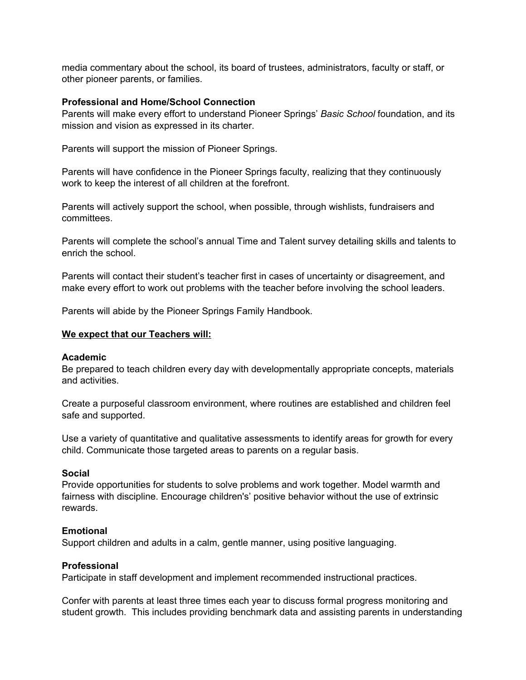media commentary about the school, its board of trustees, administrators, faculty or staff, or other pioneer parents, or families.

#### **Professional and Home/School Connection**

Parents will make every effort to understand Pioneer Springs' *Basic School* foundation, and its mission and vision as expressed in its charter.

Parents will support the mission of Pioneer Springs.

Parents will have confidence in the Pioneer Springs faculty, realizing that they continuously work to keep the interest of all children at the forefront.

Parents will actively support the school, when possible, through wishlists, fundraisers and committees.

Parents will complete the school's annual Time and Talent survey detailing skills and talents to enrich the school.

Parents will contact their student's teacher first in cases of uncertainty or disagreement, and make every effort to work out problems with the teacher before involving the school leaders.

Parents will abide by the Pioneer Springs Family Handbook.

#### **We expect that our Teachers will:**

#### **Academic**

Be prepared to teach children every day with developmentally appropriate concepts, materials and activities.

Create a purposeful classroom environment, where routines are established and children feel safe and supported.

Use a variety of quantitative and qualitative assessments to identify areas for growth for every child. Communicate those targeted areas to parents on a regular basis.

#### **Social**

Provide opportunities for students to solve problems and work together. Model warmth and fairness with discipline. Encourage children's' positive behavior without the use of extrinsic rewards.

# **Emotional**

Support children and adults in a calm, gentle manner, using positive languaging.

#### **Professional**

Participate in staff development and implement recommended instructional practices.

Confer with parents at least three times each year to discuss formal progress monitoring and student growth. This includes providing benchmark data and assisting parents in understanding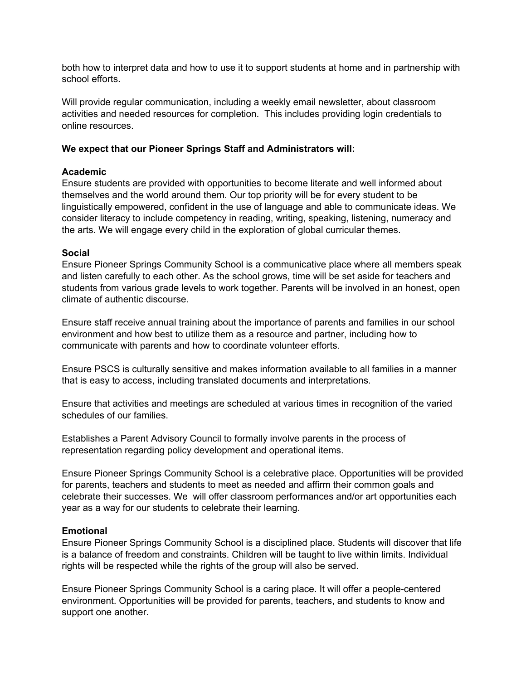both how to interpret data and how to use it to support students at home and in partnership with school efforts.

Will provide regular communication, including a weekly email newsletter, about classroom activities and needed resources for completion. This includes providing login credentials to online resources.

#### **We expect that our Pioneer Springs Staff and Administrators will:**

#### **Academic**

Ensure students are provided with opportunities to become literate and well informed about themselves and the world around them. Our top priority will be for every student to be linguistically empowered, confident in the use of language and able to communicate ideas. We consider literacy to include competency in reading, writing, speaking, listening, numeracy and the arts. We will engage every child in the exploration of global curricular themes.

#### **Social**

Ensure Pioneer Springs Community School is a communicative place where all members speak and listen carefully to each other. As the school grows, time will be set aside for teachers and students from various grade levels to work together. Parents will be involved in an honest, open climate of authentic discourse.

Ensure staff receive annual training about the importance of parents and families in our school environment and how best to utilize them as a resource and partner, including how to communicate with parents and how to coordinate volunteer efforts.

Ensure PSCS is culturally sensitive and makes information available to all families in a manner that is easy to access, including translated documents and interpretations.

Ensure that activities and meetings are scheduled at various times in recognition of the varied schedules of our families.

Establishes a Parent Advisory Council to formally involve parents in the process of representation regarding policy development and operational items.

Ensure Pioneer Springs Community School is a celebrative place. Opportunities will be provided for parents, teachers and students to meet as needed and affirm their common goals and celebrate their successes. We will offer classroom performances and/or art opportunities each year as a way for our students to celebrate their learning.

#### **Emotional**

Ensure Pioneer Springs Community School is a disciplined place. Students will discover that life is a balance of freedom and constraints. Children will be taught to live within limits. Individual rights will be respected while the rights of the group will also be served.

Ensure Pioneer Springs Community School is a caring place. It will offer a people-centered environment. Opportunities will be provided for parents, teachers, and students to know and support one another.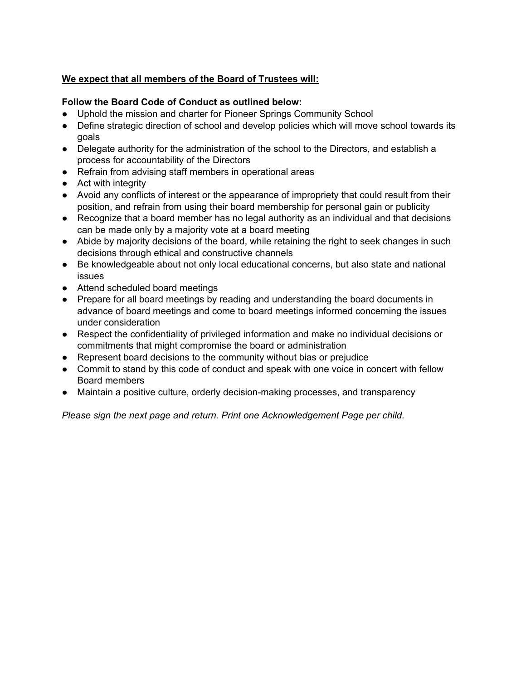# **We expect that all members of the Board of Trustees will:**

# **Follow the Board Code of Conduct as outlined below:**

- Uphold the mission and charter for Pioneer Springs Community School
- Define strategic direction of school and develop policies which will move school towards its goals
- Delegate authority for the administration of the school to the Directors, and establish a process for accountability of the Directors
- Refrain from advising staff members in operational areas
- Act with integrity
- Avoid any conflicts of interest or the appearance of impropriety that could result from their position, and refrain from using their board membership for personal gain or publicity
- Recognize that a board member has no legal authority as an individual and that decisions can be made only by a majority vote at a board meeting
- Abide by majority decisions of the board, while retaining the right to seek changes in such decisions through ethical and constructive channels
- Be knowledgeable about not only local educational concerns, but also state and national issues
- Attend scheduled board meetings
- Prepare for all board meetings by reading and understanding the board documents in advance of board meetings and come to board meetings informed concerning the issues under consideration
- Respect the confidentiality of privileged information and make no individual decisions or commitments that might compromise the board or administration
- Represent board decisions to the community without bias or prejudice
- Commit to stand by this code of conduct and speak with one voice in concert with fellow Board members
- Maintain a positive culture, orderly decision-making processes, and transparency

*Please sign the next page and return. Print one Acknowledgement Page per child.*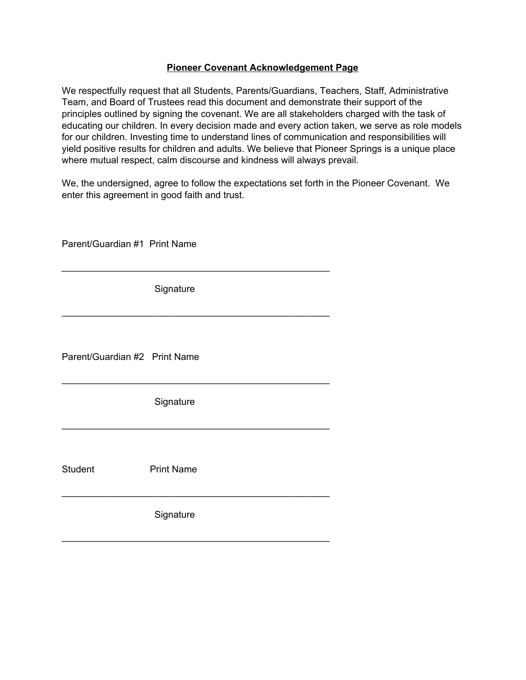#### **Pioneer Covenant Acknowledgement Page**

We respectfully request that all Students, Parents/Guardians, Teachers, Staff, Administrative Team, and Board of Trustees read this document and demonstrate their support of the principles outlined by signing the covenant. We are all stakeholders charged with the task of educating our children. In every decision made and every action taken, we serve as role models for our children. Investing time to understand lines of communication and responsibilities will yield positive results for children and adults. We believe that Pioneer Springs is a unique place where mutual respect, calm discourse and kindness will always prevail.

We, the undersigned, agree to follow the expectations set forth in the Pioneer Covenant. We enter this agreement in good faith and trust.

| Parent/Guardian #1 Print Name |                   |
|-------------------------------|-------------------|
|                               | Signature         |
| Parent/Guardian #2 Print Name |                   |
|                               | Signature         |
| <b>Student</b>                | <b>Print Name</b> |
|                               | Signature         |